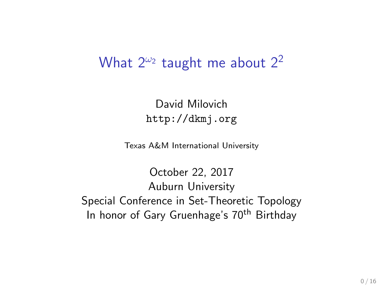### What  $2^{\omega_2}$  taught me about  $2^2$

David Milovich <http://dkmj.org>

Texas A&M International University

October 22, 2017 Auburn University Special Conference in Set-Theoretic Topology In honor of Gary Gruenhage's 70<sup>th</sup> Birthday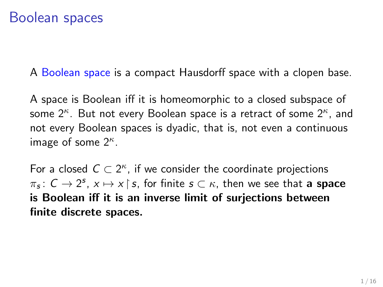A Boolean space is a compact Hausdorff space with a clopen base.

A space is Boolean iff it is homeomorphic to a closed subspace of some  $2^{\kappa}$ . But not every Boolean space is a retract of some  $2^{\kappa}$ , and not every Boolean spaces is dyadic, that is, not even a continuous image of some  $2^{\kappa}$ .

For a closed  $C \subset 2^{\kappa}$ , if we consider the coordinate projections  $\pi_{\bm{s}}\colon\bm{C}\to 2^{\bm{s}},\ \bm{x}\mapsto \bm{x}\!\restriction\!\bm{s},\ \text{for finite}\ \bm{s}\subset \kappa,\ \text{then we see that}\ \bm{a}\ \textbf{space}$ is Boolean iff it is an inverse limit of surjections between finite discrete spaces.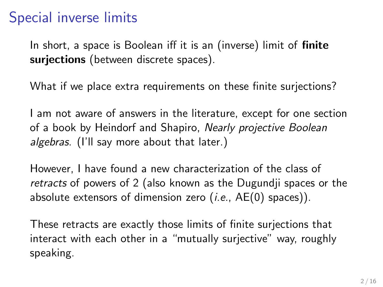# Special inverse limits

In short, a space is Boolean iff it is an (inverse) limit of **finite** surjections (between discrete spaces).

What if we place extra requirements on these finite surjections?

I am not aware of answers in the literature, except for one section of a book by Heindorf and Shapiro, Nearly projective Boolean algebras. (I'll say more about that later.)

However, I have found a new characterization of the class of retracts of powers of 2 (also known as the Dugundji spaces or the absolute extensors of dimension zero  $(i.e., AE(0)$  spaces)).

These retracts are exactly those limits of finite surjections that interact with each other in a "mutually surjective" way, roughly speaking.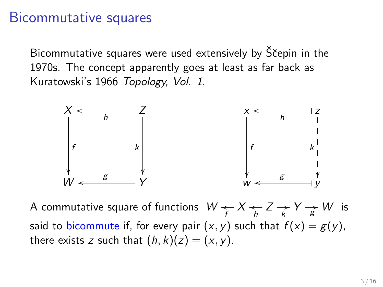#### Bicommutative squares

Bicommutative squares were used extensively by Ščepin in the 1970s. The concept apparently goes at least as far back as Kuratowski's 1966 Topology, Vol. 1.



A commutative square of functions  $W \leftarrow X \leftarrow Z \rightarrow Y \rightarrow W$  is said to bicommute if, for every pair  $(x, y)$  such that  $f(x) = g(y)$ , there exists z such that  $(h, k)(z) = (x, y)$ .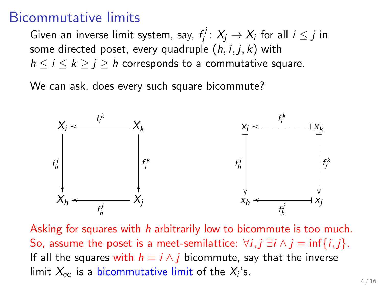#### Bicommutative limits

Given an inverse limit system, say,  $f_i^j$  $i_j^{c_j}: X_j \to X_i$  for all  $i \leq j$  in some directed poset, every quadruple  $(h, i, j, k)$  with  $h \le i \le k \ge j \ge h$  corresponds to a commutative square.

We can ask, does every such square bicommute?



Asking for squares with h arbitrarily low to bicommute is too much. So, assume the poset is a meet-semilattice:  $\forall i, j \exists i \land j = \inf\{i, j\}$ . If all the squares with  $h = i \wedge j$  bicommute, say that the inverse limit  $X_\infty$  is a bicommutative limit of the  $X_i$ 's.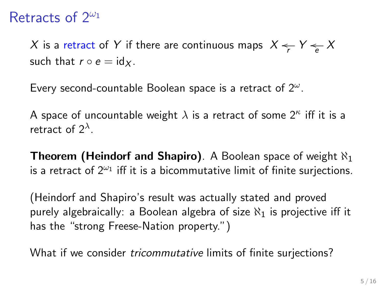### Retracts of  $2^{\omega_1}$

 $X$  is a retract of  $Y$  if there are continuous maps  $\ Xleftarrows_{\mathcal{F}} Y \rightarrows_{e} X$ such that  $r \circ e = id_x$ .

Every second-countable Boolean space is a retract of  $2^{\omega}$ .

A space of uncountable weight  $\lambda$  is a retract of some  $2^\kappa$  iff it is a retract of  $2^{\lambda}$ .

**Theorem (Heindorf and Shapiro).** A Boolean space of weight  $\aleph_1$ is a retract of  $2^{\omega_1}$  iff it is a bicommutative limit of finite surjections.

(Heindorf and Shapiro's result was actually stated and proved purely algebraically: a Boolean algebra of size  $\aleph_1$  is projective iff it has the "strong Freese-Nation property.")

What if we consider tricommutative limits of finite surjections?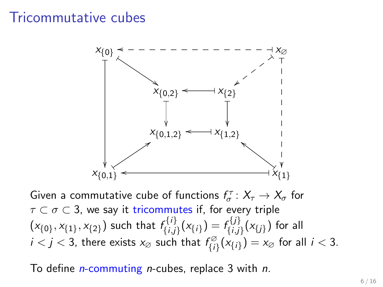### Tricommutative cubes



Given a commutative cube of functions  $f_{\sigma}^{\tau} \colon X_{\tau} \to X_{\sigma}$  for  $\tau \subset \sigma \subset 3$ , we say it tricommutes if, for every triple  $(x_{\{0\}}, x_{\{1\}}, x_{\{2\}})$  such that  $f_{\{i,j\}}^{\{i\}}$  $f_{\{i,j\}}^{\{i\}}(x_{\{i\}}) = f_{\{i,j\}}^{\{j\}}$  $\{ \epsilon^{i,j}_{\{i,j\}}(x_{\{j\}})$  for all  $i < j < 3$ , there exists  $x_{\emptyset}$  such that  $f_{ii}^{\emptyset}$  $\zeta^{(2)}_{\{i\}}(x_{\{i\}}) = x_{\varnothing}$  for all  $i < 3$ .

To define *n*-commuting *n*-cubes, replace 3 with *n*.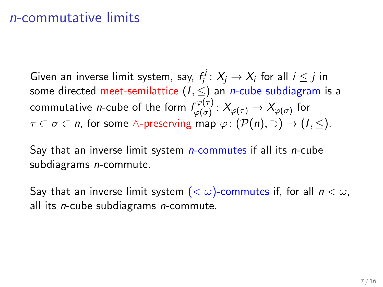#### n-commutative limits

Given an inverse limit system, say,  $f_i^j$  $i_j^{cj}\colon X_j\to X_i$  for all  $i\leq j$  in some directed meet-semilattice  $(I, \leq)$  an *n*-cube subdiagram is a commutative *n*-cube of the form  $f_{\omega(\sigma)}^{\varphi(\tau)}$  $\begin{array}{c} \Gamma^{\varphi(\tau)}\colon X_{\varphi(\tau)}\to X_{\varphi(\sigma)} \end{array}$  for  $\tau \subset \sigma \subset n$ , for some  $\wedge$ -preserving map  $\varphi: (\mathcal{P}(n), \supset) \to (1, \leq).$ 

Say that an inverse limit system  $n$ -commutes if all its  $n$ -cube subdiagrams *n*-commute.

Say that an inverse limit system  $( $\omega$ )-commutes if, for all  $n < \omega$ ,$ all its *n*-cube subdiagrams *n*-commute.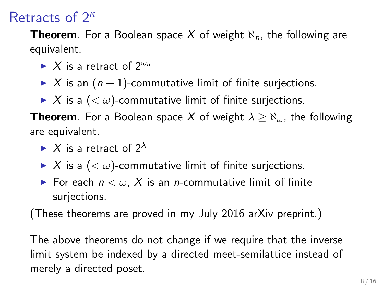# Retracts of  $2^{\kappa}$

**Theorem**. For a Boolean space X of weight  $\aleph_n$ , the following are equivalent.

- $\blacktriangleright$  X is a retract of  $2^{\omega_n}$
- $\triangleright$  X is an  $(n + 1)$ -commutative limit of finite surjections.
- $\triangleright$  X is a  $\left( \lt \omega \right)$ -commutative limit of finite surjections.

**Theorem**. For a Boolean space X of weight  $\lambda \geq \aleph_{\omega}$ , the following are equivalent.

- $\blacktriangleright$  X is a retract of  $2^{\lambda}$
- $\triangleright$  X is a  $( $\omega$ )$ -commutative limit of finite surjections.
- For each  $n < \omega$ , X is an *n*-commutative limit of finite surjections.

(These theorems are proved in my July 2016 arXiv preprint.)

The above theorems do not change if we require that the inverse limit system be indexed by a directed meet-semilattice instead of merely a directed poset.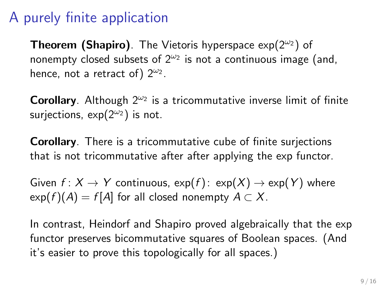# A purely finite application

**Theorem (Shapiro)**. The Vietoris hyperspace  $exp(2^{\omega_2})$  of nonempty closed subsets of  $2^{\omega_2}$  is not a continuous image (and, hence, not a retract of)  $2^{\omega_2}$ .

Corollary. Although  $2^{\omega_2}$  is a tricommutative inverse limit of finite surjections,  $exp(2^{\omega_2})$  is not.

Corollary. There is a tricommutative cube of finite surjections that is not tricommutative after after applying the exp functor.

Given  $f: X \to Y$  continuous,  $exp(f): exp(X) \to exp(Y)$  where  $exp(f)(A) = f[A]$  for all closed nonempty  $A \subset X$ .

In contrast, Heindorf and Shapiro proved algebraically that the exp functor preserves bicommutative squares of Boolean spaces. (And it's easier to prove this topologically for all spaces.)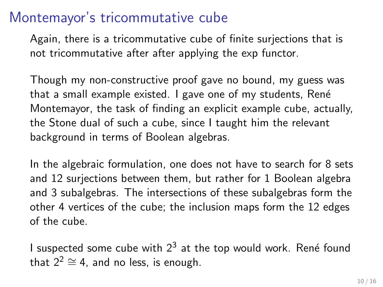### Montemayor's tricommutative cube

Again, there is a tricommutative cube of finite surjections that is not tricommutative after after applying the exp functor.

Though my non-constructive proof gave no bound, my guess was that a small example existed. I gave one of my students, René Montemayor, the task of finding an explicit example cube, actually, the Stone dual of such a cube, since I taught him the relevant background in terms of Boolean algebras.

In the algebraic formulation, one does not have to search for 8 sets and 12 surjections between them, but rather for 1 Boolean algebra and 3 subalgebras. The intersections of these subalgebras form the other 4 vertices of the cube; the inclusion maps form the 12 edges of the cube.

I suspected some cube with  $2^3$  at the top would work. René found that  $2^2 \cong 4$ , and no less, is enough.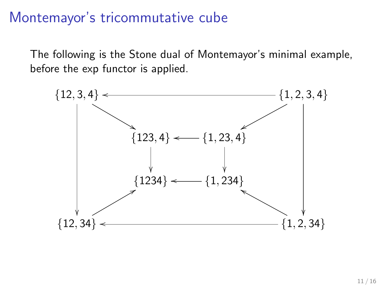### Montemayor's tricommutative cube

The following is the Stone dual of Montemayor's minimal example, before the exp functor is applied.

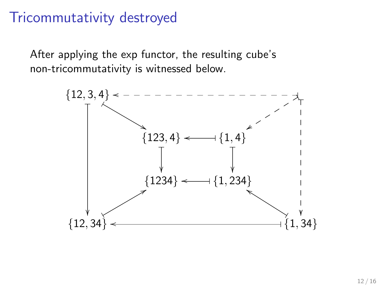# Tricommutativity destroyed

After applying the exp functor, the resulting cube's non-tricommutativity is witnessed below.

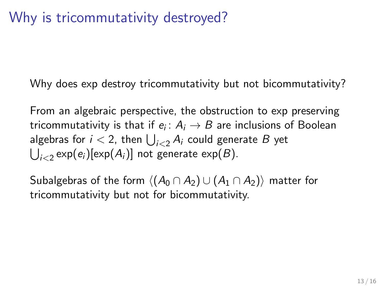# Why is tricommutativity destroyed?

Why does exp destroy tricommutativity but not bicommutativity?

From an algebraic perspective, the obstruction to exp preserving tricommutativity is that if  $e_i\colon A_i\to B$  are inclusions of Boolean algebras for  $i < 2$ , then  $\bigcup_{i < 2} A_i$  could generate  $B$  yet  $\bigcup_{i < 2} \exp(e_i)[\exp(A_i)]$  not generate  $\exp(B)$ .

Subalgebras of the form  $\langle (A_0 \cap A_2) \cup (A_1 \cap A_2) \rangle$  matter for tricommutativity but not for bicommutativity.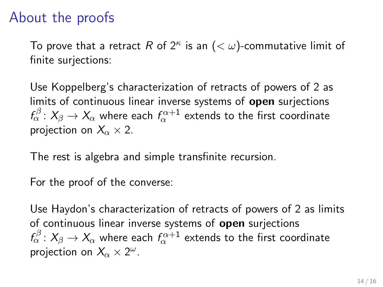# About the proofs

To prove that a retract  $R$  of  $2^\kappa$  is an  $(<\omega)$ -commutative limit of finite surjections:

Use Koppelberg's characterization of retracts of powers of 2 as limits of continuous linear inverse systems of **open** surjections  $f_\alpha^\beta\colon X_\beta\to X_\alpha$  where each  $f_\alpha^{\alpha+1}$  extends to the first coordinate projection on  $X_{\alpha} \times 2$ .

The rest is algebra and simple transfinite recursion.

For the proof of the converse:

Use Haydon's characterization of retracts of powers of 2 as limits of continuous linear inverse systems of open surjections  $\mathit{f}_{\alpha}^{\beta}:\mathit{X}_{\beta}\rightarrow\mathit{X}_{\alpha}$  where each  $\mathit{f}_{\alpha}^{\alpha+1}$  extends to the first coordinate projection on  $X_{\alpha} \times 2^{\omega}$ .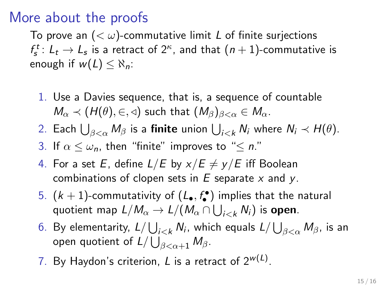## More about the proofs

To prove an  $( $\omega$ )$ -commutative limit L of finite surjections  $f_s^t \colon L_t \to L_s$  is a retract of  $2^\kappa$ , and that  $(n+1)$ -commutative is enough if  $w(L) < \aleph_n$ :

1. Use a Davies sequence, that is, a sequence of countable  $M_{\alpha} \prec (H(\theta), \in, \triangleleft)$  such that  $(M_{\beta})_{\beta < \alpha} \in M_{\alpha}$ .

2. Each  $\bigcup_{\beta<\alpha}M_{\beta}$  is a finite union  $\bigcup_{i< k}N_i$  where  $N_i\prec H(\theta).$ 

3. If  $\alpha \leq \omega_n$ , then "finite" improves to " $\leq n$ ."

- 4. For a set E, define  $L/E$  by  $x/E \neq y/E$  iff Boolean combinations of clopen sets in  $E$  separate x and y.
- 5.  $(k+1)$ -commutativity of  $(L_\bullet,f_\bullet^\bullet)$  implies that the natural quotient map  $L/M_\alpha \rightarrow L/(M_\alpha \cap \bigcup_{i < k} N_i)$  is **open**.
- 6. By elementarity,  $L/\bigcup_{i< k}N_i$ , which equals  $L/\bigcup_{\beta<\alpha}M_\beta$ , is an open quotient of  $L/\bigcup_{\beta<\alpha+1}M_\beta.$
- 7. By Haydon's criterion,  $L$  is a retract of  $2^{w(L)}$ .